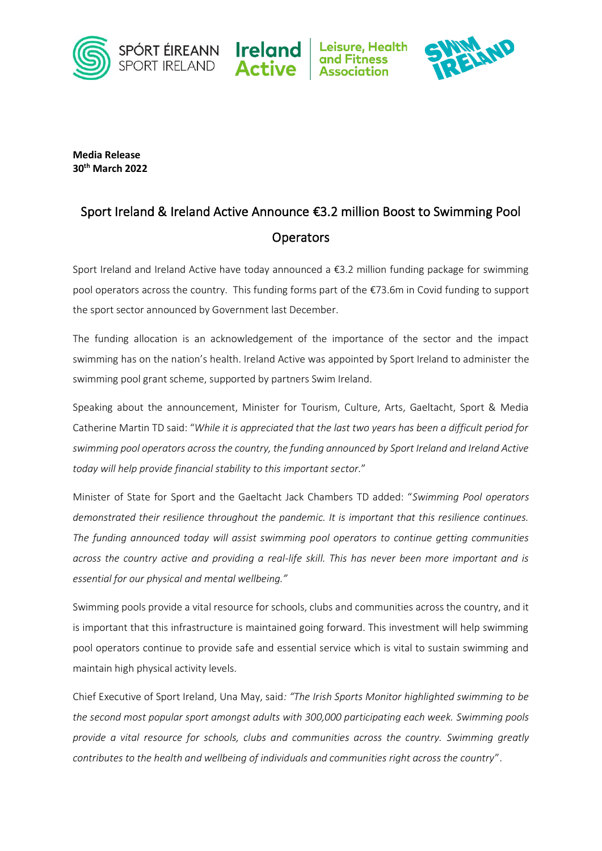







**Media Release 30th March 2022**

## Sport Ireland & Ireland Active Announce €3.2 million Boost to Swimming Pool **Operators**

Sport Ireland and Ireland Active have today announced a €3.2 million funding package for swimming pool operators across the country. This funding forms part of the €73.6m in Covid funding to support the sport sector announced by Government last December.

The funding allocation is an acknowledgement of the importance of the sector and the impact swimming has on the nation's health. Ireland Active was appointed by Sport Ireland to administer the swimming pool grant scheme, supported by partners Swim Ireland.

Speaking about the announcement, Minister for Tourism, Culture, Arts, Gaeltacht, Sport & Media Catherine Martin TD said: "*While it is appreciated that the last two years has been a difficult period for swimming pool operators across the country, the funding announced by Sport Ireland and Ireland Active today will help provide financial stability to this important sector.*"

Minister of State for Sport and the Gaeltacht Jack Chambers TD added: "*Swimming Pool operators demonstrated their resilience throughout the pandemic. It is important that this resilience continues. The funding announced today will assist swimming pool operators to continue getting communities across the country active and providing a real-life skill. This has never been more important and is essential for our physical and mental wellbeing."*

Swimming pools provide a vital resource for schools, clubs and communities across the country, and it is important that this infrastructure is maintained going forward. This investment will help swimming pool operators continue to provide safe and essential service which is vital to sustain swimming and maintain high physical activity levels.

Chief Executive of Sport Ireland, Una May, said*: "The Irish Sports Monitor highlighted swimming to be the second most popular sport amongst adults with 300,000 participating each week. Swimming pools provide a vital resource for schools, clubs and communities across the country. Swimming greatly contributes to the health and wellbeing of individuals and communities right across the country*".